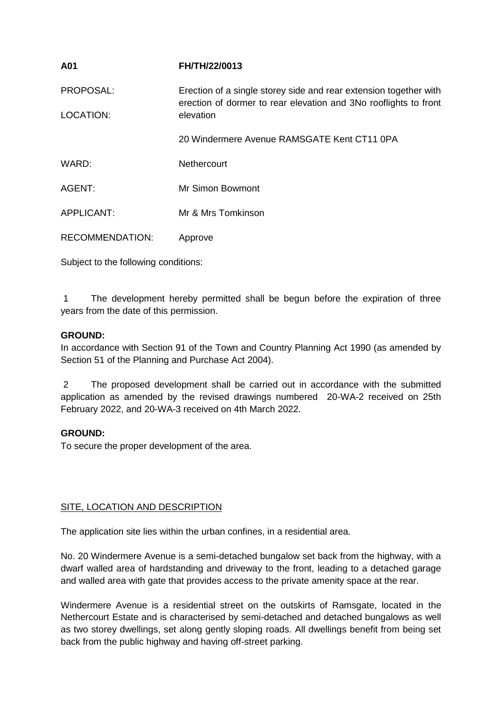| A01                    | FH/TH/22/0013                                                                                                                         |
|------------------------|---------------------------------------------------------------------------------------------------------------------------------------|
| PROPOSAL:              | Erection of a single storey side and rear extension together with<br>erection of dormer to rear elevation and 3No rooflights to front |
| LOCATION:              | elevation                                                                                                                             |
|                        | 20 Windermere Avenue RAMSGATE Kent CT11 0PA                                                                                           |
| WARD:                  | Nethercourt                                                                                                                           |
| AGENT:                 | Mr Simon Bowmont                                                                                                                      |
| <b>APPLICANT:</b>      | Mr & Mrs Tomkinson                                                                                                                    |
| <b>RECOMMENDATION:</b> | Approve                                                                                                                               |
|                        |                                                                                                                                       |

Subject to the following conditions:

1 The development hereby permitted shall be begun before the expiration of three years from the date of this permission.

# **GROUND:**

In accordance with Section 91 of the Town and Country Planning Act 1990 (as amended by Section 51 of the Planning and Purchase Act 2004).

2 The proposed development shall be carried out in accordance with the submitted application as amended by the revised drawings numbered 20-WA-2 received on 25th February 2022, and 20-WA-3 received on 4th March 2022.

# **GROUND:**

To secure the proper development of the area.

# SITE, LOCATION AND DESCRIPTION

The application site lies within the urban confines, in a residential area.

No. 20 Windermere Avenue is a semi-detached bungalow set back from the highway, with a dwarf walled area of hardstanding and driveway to the front, leading to a detached garage and walled area with gate that provides access to the private amenity space at the rear.

Windermere Avenue is a residential street on the outskirts of Ramsgate, located in the Nethercourt Estate and is characterised by semi-detached and detached bungalows as well as two storey dwellings, set along gently sloping roads. All dwellings benefit from being set back from the public highway and having off-street parking.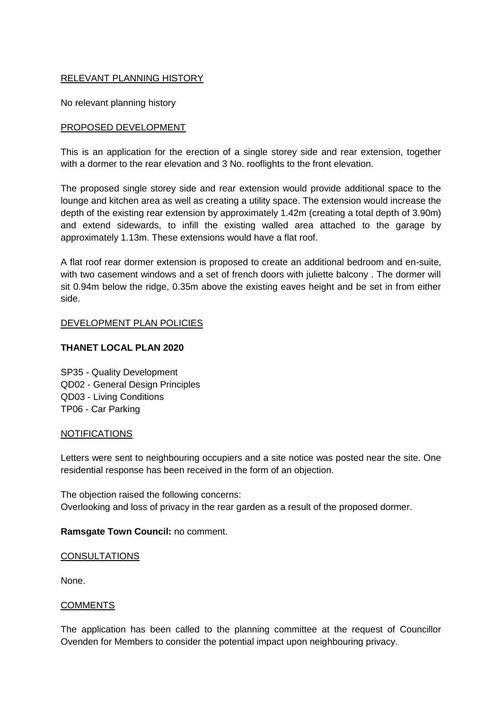# RELEVANT PLANNING HISTORY

No relevant planning history

### PROPOSED DEVELOPMENT

This is an application for the erection of a single storey side and rear extension, together with a dormer to the rear elevation and 3 No. rooflights to the front elevation.

The proposed single storey side and rear extension would provide additional space to the lounge and kitchen area as well as creating a utility space. The extension would increase the depth of the existing rear extension by approximately 1.42m (creating a total depth of 3.90m) and extend sidewards, to infill the existing walled area attached to the garage by approximately 1.13m. These extensions would have a flat roof.

A flat roof rear dormer extension is proposed to create an additional bedroom and en-suite, with two casement windows and a set of french doors with juliette balcony . The dormer will sit 0.94m below the ridge, 0.35m above the existing eaves height and be set in from either side.

### DEVELOPMENT PLAN POLICIES

### **THANET LOCAL PLAN 2020**

SP35 - Quality Development QD02 - General Design Principles QD03 - Living Conditions TP06 - Car Parking

#### NOTIFICATIONS

Letters were sent to neighbouring occupiers and a site notice was posted near the site. One residential response has been received in the form of an objection.

The objection raised the following concerns: Overlooking and loss of privacy in the rear garden as a result of the proposed dormer.

#### **Ramsgate Town Council:** no comment.

#### **CONSULTATIONS**

None.

#### COMMENTS

The application has been called to the planning committee at the request of Councillor Ovenden for Members to consider the potential impact upon neighbouring privacy.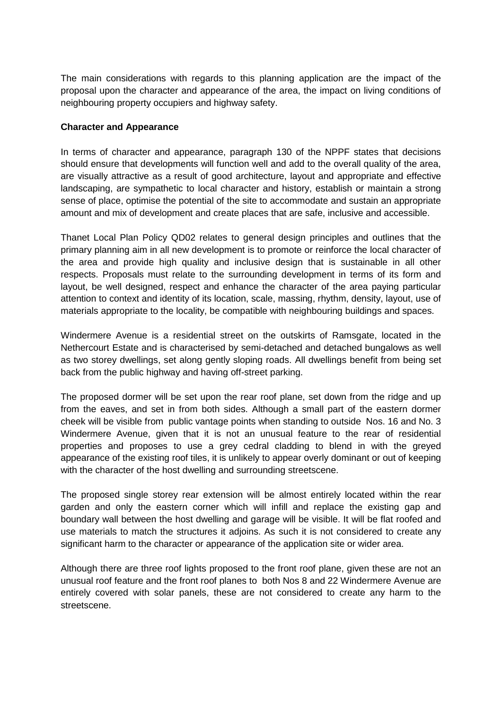The main considerations with regards to this planning application are the impact of the proposal upon the character and appearance of the area, the impact on living conditions of neighbouring property occupiers and highway safety.

# **Character and Appearance**

In terms of character and appearance, paragraph 130 of the NPPF states that decisions should ensure that developments will function well and add to the overall quality of the area, are visually attractive as a result of good architecture, layout and appropriate and effective landscaping, are sympathetic to local character and history, establish or maintain a strong sense of place, optimise the potential of the site to accommodate and sustain an appropriate amount and mix of development and create places that are safe, inclusive and accessible.

Thanet Local Plan Policy QD02 relates to general design principles and outlines that the primary planning aim in all new development is to promote or reinforce the local character of the area and provide high quality and inclusive design that is sustainable in all other respects. Proposals must relate to the surrounding development in terms of its form and layout, be well designed, respect and enhance the character of the area paying particular attention to context and identity of its location, scale, massing, rhythm, density, layout, use of materials appropriate to the locality, be compatible with neighbouring buildings and spaces.

Windermere Avenue is a residential street on the outskirts of Ramsgate, located in the Nethercourt Estate and is characterised by semi-detached and detached bungalows as well as two storey dwellings, set along gently sloping roads. All dwellings benefit from being set back from the public highway and having off-street parking.

The proposed dormer will be set upon the rear roof plane, set down from the ridge and up from the eaves, and set in from both sides. Although a small part of the eastern dormer cheek will be visible from public vantage points when standing to outside Nos. 16 and No. 3 Windermere Avenue, given that it is not an unusual feature to the rear of residential properties and proposes to use a grey cedral cladding to blend in with the greyed appearance of the existing roof tiles, it is unlikely to appear overly dominant or out of keeping with the character of the host dwelling and surrounding streetscene.

The proposed single storey rear extension will be almost entirely located within the rear garden and only the eastern corner which will infill and replace the existing gap and boundary wall between the host dwelling and garage will be visible. It will be flat roofed and use materials to match the structures it adjoins. As such it is not considered to create any significant harm to the character or appearance of the application site or wider area.

Although there are three roof lights proposed to the front roof plane, given these are not an unusual roof feature and the front roof planes to both Nos 8 and 22 Windermere Avenue are entirely covered with solar panels, these are not considered to create any harm to the streetscene.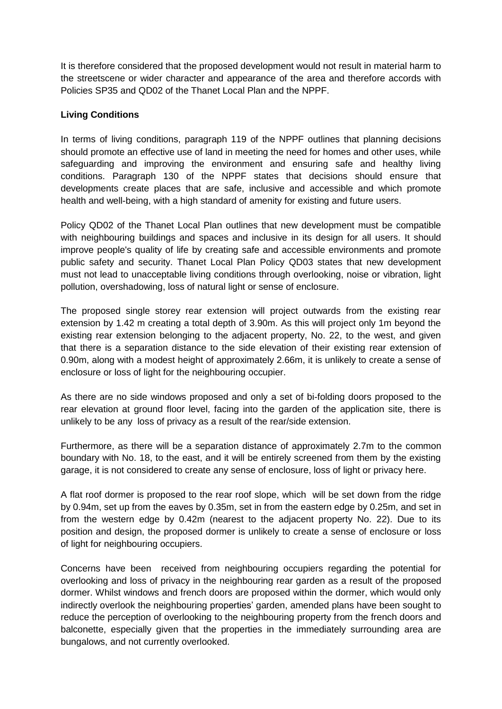It is therefore considered that the proposed development would not result in material harm to the streetscene or wider character and appearance of the area and therefore accords with Policies SP35 and QD02 of the Thanet Local Plan and the NPPF.

# **Living Conditions**

In terms of living conditions, paragraph 119 of the NPPF outlines that planning decisions should promote an effective use of land in meeting the need for homes and other uses, while safeguarding and improving the environment and ensuring safe and healthy living conditions. Paragraph 130 of the NPPF states that decisions should ensure that developments create places that are safe, inclusive and accessible and which promote health and well-being, with a high standard of amenity for existing and future users.

Policy QD02 of the Thanet Local Plan outlines that new development must be compatible with neighbouring buildings and spaces and inclusive in its design for all users. It should improve people's quality of life by creating safe and accessible environments and promote public safety and security. Thanet Local Plan Policy QD03 states that new development must not lead to unacceptable living conditions through overlooking, noise or vibration, light pollution, overshadowing, loss of natural light or sense of enclosure.

The proposed single storey rear extension will project outwards from the existing rear extension by 1.42 m creating a total depth of 3.90m. As this will project only 1m beyond the existing rear extension belonging to the adjacent property, No. 22, to the west, and given that there is a separation distance to the side elevation of their existing rear extension of 0.90m, along with a modest height of approximately 2.66m, it is unlikely to create a sense of enclosure or loss of light for the neighbouring occupier.

As there are no side windows proposed and only a set of bi-folding doors proposed to the rear elevation at ground floor level, facing into the garden of the application site, there is unlikely to be any loss of privacy as a result of the rear/side extension.

Furthermore, as there will be a separation distance of approximately 2.7m to the common boundary with No. 18, to the east, and it will be entirely screened from them by the existing garage, it is not considered to create any sense of enclosure, loss of light or privacy here.

A flat roof dormer is proposed to the rear roof slope, which will be set down from the ridge by 0.94m, set up from the eaves by 0.35m, set in from the eastern edge by 0.25m, and set in from the western edge by 0.42m (nearest to the adjacent property No. 22). Due to its position and design, the proposed dormer is unlikely to create a sense of enclosure or loss of light for neighbouring occupiers.

Concerns have been received from neighbouring occupiers regarding the potential for overlooking and loss of privacy in the neighbouring rear garden as a result of the proposed dormer. Whilst windows and french doors are proposed within the dormer, which would only indirectly overlook the neighbouring properties' garden, amended plans have been sought to reduce the perception of overlooking to the neighbouring property from the french doors and balconette, especially given that the properties in the immediately surrounding area are bungalows, and not currently overlooked.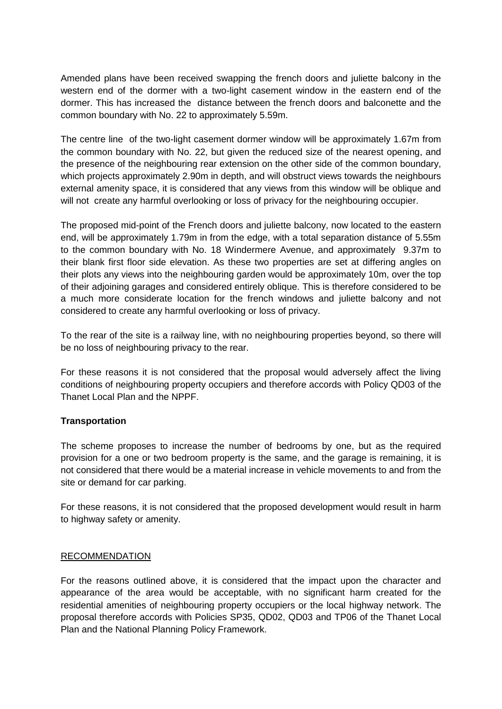Amended plans have been received swapping the french doors and juliette balcony in the western end of the dormer with a two-light casement window in the eastern end of the dormer. This has increased the distance between the french doors and balconette and the common boundary with No. 22 to approximately 5.59m.

The centre line of the two-light casement dormer window will be approximately 1.67m from the common boundary with No. 22, but given the reduced size of the nearest opening, and the presence of the neighbouring rear extension on the other side of the common boundary, which projects approximately 2.90m in depth, and will obstruct views towards the neighbours external amenity space, it is considered that any views from this window will be oblique and will not create any harmful overlooking or loss of privacy for the neighbouring occupier.

The proposed mid-point of the French doors and juliette balcony, now located to the eastern end, will be approximately 1.79m in from the edge, with a total separation distance of 5.55m to the common boundary with No. 18 Windermere Avenue, and approximately 9.37m to their blank first floor side elevation. As these two properties are set at differing angles on their plots any views into the neighbouring garden would be approximately 10m, over the top of their adjoining garages and considered entirely oblique. This is therefore considered to be a much more considerate location for the french windows and juliette balcony and not considered to create any harmful overlooking or loss of privacy.

To the rear of the site is a railway line, with no neighbouring properties beyond, so there will be no loss of neighbouring privacy to the rear.

For these reasons it is not considered that the proposal would adversely affect the living conditions of neighbouring property occupiers and therefore accords with Policy QD03 of the Thanet Local Plan and the NPPF.

# **Transportation**

The scheme proposes to increase the number of bedrooms by one, but as the required provision for a one or two bedroom property is the same, and the garage is remaining, it is not considered that there would be a material increase in vehicle movements to and from the site or demand for car parking.

For these reasons, it is not considered that the proposed development would result in harm to highway safety or amenity.

# RECOMMENDATION

For the reasons outlined above, it is considered that the impact upon the character and appearance of the area would be acceptable, with no significant harm created for the residential amenities of neighbouring property occupiers or the local highway network. The proposal therefore accords with Policies SP35, QD02, QD03 and TP06 of the Thanet Local Plan and the National Planning Policy Framework.